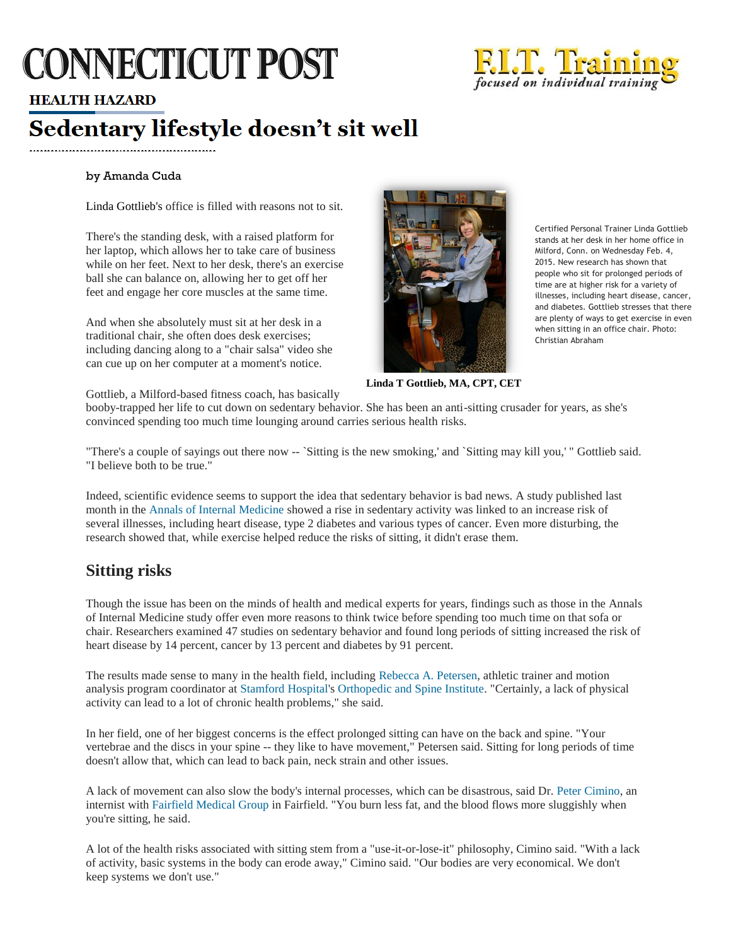# **CONNECTICUT POST**



## **HEALTH HAZARD**

# Sedentary lifestyle doesn't sit well

#### by Amanda Cuda

[Linda Gottlieb's](http://www.ctpost.com/search/?action=search&channel=local&inlineLink=1&searchindex=gsa&query=%22Linda+Gottlieb%22) office is filled with reasons not to sit.

There's the standing desk, with a raised platform for her laptop, which allows her to take care of business while on her feet. Next to her desk, there's an exercise ball she can balance on, allowing her to get off her feet and engage her core muscles at the same time.

And when she absolutely must sit at her desk in a traditional chair, she often does desk exercises; including dancing along to a "chair salsa" video she can cue up on her computer at a moment's notice.



Certified Personal Trainer Linda Gottlieb stands at her desk in her home office in Milford, Conn. on Wednesday Feb. 4, 2015. New research has shown that people who sit for prolonged periods of time are at higher risk for a variety of illnesses, including heart disease, cancer, and diabetes. Gottlieb stresses that there are plenty of ways to get exercise in even when sitting in an office chair. Photo: Christian Abraham

**Linda T Gottlieb, MA, CPT, CET**

Gottlieb, a Milford-based fitness coach, has basically

booby-trapped her life to cut down on sedentary behavior. She has been an anti-sitting crusader for years, as she's convinced spending too much time lounging around carries serious health risks.

"There's a couple of sayings out there now -- `Sitting is the new smoking,' and `Sitting may kill you,' " Gottlieb said. "I believe both to be true."

Indeed, scientific evidence seems to support the idea that sedentary behavior is bad news. A study published last month in the [Annals of Internal Medicine](http://www.ctpost.com/search/?action=search&channel=local&inlineLink=1&searchindex=gsa&query=%22Annals+of+Internal+Medicine%22) showed a rise in sedentary activity was linked to an increase risk of several illnesses, including heart disease, type 2 diabetes and various types of cancer. Even more disturbing, the research showed that, while exercise helped reduce the risks of sitting, it didn't erase them.

# **Sitting risks**

Though the issue has been on the minds of health and medical experts for years, findings such as those in the Annals of Internal Medicine study offer even more reasons to think twice before spending too much time on that sofa or chair. Researchers examined 47 studies on sedentary behavior and found long periods of sitting increased the risk of heart disease by 14 percent, cancer by 13 percent and diabetes by 91 percent.

The results made sense to many in the health field, including [Rebecca A. Petersen,](http://www.ctpost.com/search/?action=search&channel=local&inlineLink=1&searchindex=gsa&query=%22Rebecca+A.+Petersen%22) athletic trainer and motion analysis program coordinator at [Stamford Hospital's](http://www.ctpost.com/search/?action=search&channel=local&inlineLink=1&searchindex=gsa&query=%22Stamford+Hospital%22) [Orthopedic and Spine Institute.](http://www.ctpost.com/search/?action=search&channel=local&inlineLink=1&searchindex=gsa&query=%22Orthopedic+and+Spine+Institute%22) "Certainly, a lack of physical activity can lead to a lot of chronic health problems," she said.

In her field, one of her biggest concerns is the effect prolonged sitting can have on the back and spine. "Your vertebrae and the discs in your spine -- they like to have movement," Petersen said. Sitting for long periods of time doesn't allow that, which can lead to back pain, neck strain and other issues.

A lack of movement can also slow the body's internal processes, which can be disastrous, said Dr. [Peter Cimino,](http://www.ctpost.com/search/?action=search&channel=local&inlineLink=1&searchindex=gsa&query=%22Peter+Cimino%22) an internist with [Fairfield Medical Group](http://www.ctpost.com/search/?action=search&channel=local&inlineLink=1&searchindex=gsa&query=%22Fairfield+Medical+Group%22) in Fairfield. "You burn less fat, and the blood flows more sluggishly when you're sitting, he said.

A lot of the health risks associated with sitting stem from a "use-it-or-lose-it" philosophy, Cimino said. "With a lack of activity, basic systems in the body can erode away," Cimino said. "Our bodies are very economical. We don't keep systems we don't use."